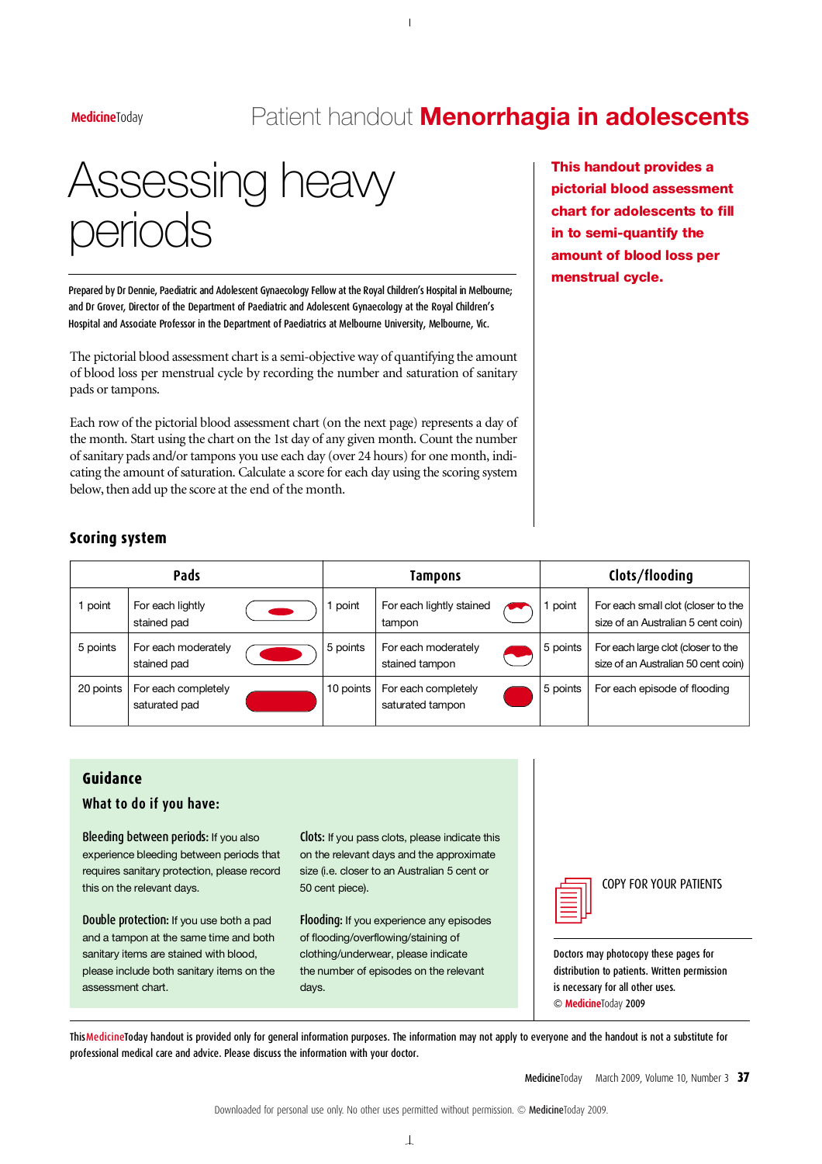## MedicineToday **RedicineToday** Patient handout **Menorrhagia in adolescents**

# Assessing heavy periods

Prepared by Dr Dennie, Paediatric and Adolescent Gynaecology Fellow at the Royal Children's Hospital in Melbourne; and Dr Grover, Director of the Department of Paediatric and Adolescent Gynaecology at the Royal Children's Hospital and Associate Professor in the Department of Paediatrics at Melbourne University, Melbourne, Vic.

The pictorial blood assessment chart is a semi-objective way of quantifying the amount of blood loss per menstrual cycle by recording the number and saturation of sanitary pads or tampons.

Each row of the pictorial blood assessment chart (on the next page) represents a day of the month. Start using the chart on the 1st day of any given month. Count the number of sanitary pads and/or tampons you use each day (over 24 hours) for one month, indicating the amount of saturation. Calculate a score for each day using the scoring system below, then add up the score at the end of the month.

This handout provides a pictorial blood assessment chart for adolescents to fill in to semi-quantify the amount of blood loss per menstrual cycle.

#### **Scoring system**

|           | Pads                                 |           | Tampons                                 | Clots/flooding |                                                                           |  |
|-----------|--------------------------------------|-----------|-----------------------------------------|----------------|---------------------------------------------------------------------------|--|
| point     | For each lightly<br>stained pad      | point     | For each lightly stained<br>tampon      | point          | For each small clot (closer to the<br>size of an Australian 5 cent coin)  |  |
| 5 points  | For each moderately<br>stained pad   | 5 points  | For each moderately<br>stained tampon   | 5 points       | For each large clot (closer to the<br>size of an Australian 50 cent coin) |  |
| 20 points | For each completely<br>saturated pad | 10 points | For each completely<br>saturated tampon | 5 points       | For each episode of flooding                                              |  |

#### **G u i d a n c e**

#### **What to do if you have:**

Bleeding between periods: If you also experience bleeding between periods that requires sanitary protection, please record this on the relevant days.

Double protection: If you use both a pad and a tampon at the same time and both sanitary items are stained with blood. please include both sanitary items on the assessment chart.

Clots: If you pass clots, please indicate this on the relevant days and the approximate size (i.e. closer to an Australian 5 cent or 50 cent piece).

Flooding: If you experience any episodes of flooding/overflowing/staining of clothing/underwear, please indicate the number of episodes on the relevant days.



COPY FOR YOUR PATIENTS

Doctors may photocopy these pages for distribution to patients. Written permission is necessary for all other uses. © MedicineToday 2009

ThisMedicineToday handout is provided only for general information purposes. The information may not apply to everyone and the handout is not a substitute for professional medical care and advice. Please discuss the information with your doctor.

MedicineToday March 2009, Volume 10, Number 3 37